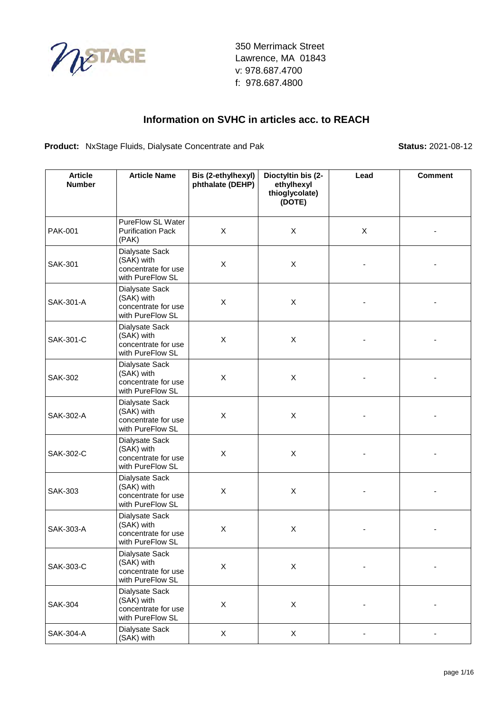

#### **Information on SVHC in articles acc. to REACH**

**Product:** NxStage Fluids, Dialysate Concentrate and Pak **Status:** 2021-08-12

| <b>Article</b><br><b>Number</b> | <b>Article Name</b>                                                     | Bis (2-ethylhexyl)<br>phthalate (DEHP) | Dioctyltin bis (2-<br>ethylhexyl<br>thioglycolate)<br>(DOTE) | Lead | <b>Comment</b> |
|---------------------------------|-------------------------------------------------------------------------|----------------------------------------|--------------------------------------------------------------|------|----------------|
| <b>PAK-001</b>                  | PureFlow SL Water<br><b>Purification Pack</b><br>(PAK)                  | X                                      | X                                                            | X    |                |
| <b>SAK-301</b>                  | Dialysate Sack<br>(SAK) with<br>concentrate for use<br>with PureFlow SL | $\pmb{\times}$                         | X                                                            |      |                |
| SAK-301-A                       | Dialysate Sack<br>(SAK) with<br>concentrate for use<br>with PureFlow SL | X                                      | X                                                            |      |                |
| SAK-301-C                       | Dialysate Sack<br>(SAK) with<br>concentrate for use<br>with PureFlow SL | $\mathsf{X}$                           | X                                                            |      |                |
| <b>SAK-302</b>                  | Dialysate Sack<br>(SAK) with<br>concentrate for use<br>with PureFlow SL | X                                      | X                                                            |      |                |
| SAK-302-A                       | Dialysate Sack<br>(SAK) with<br>concentrate for use<br>with PureFlow SL | X                                      | X                                                            |      |                |
| SAK-302-C                       | Dialysate Sack<br>(SAK) with<br>concentrate for use<br>with PureFlow SL | X                                      | X                                                            |      |                |
| <b>SAK-303</b>                  | Dialysate Sack<br>(SAK) with<br>concentrate for use<br>with PureFlow SL | $\mathsf{X}$                           | X                                                            |      |                |
| SAK-303-A                       | Dialysate Sack<br>(SAK) with<br>concentrate for use<br>with PureFlow SL | X                                      | X                                                            |      |                |
| SAK-303-C                       | Dialysate Sack<br>(SAK) with<br>concentrate for use<br>with PureFlow SL | $\mathsf X$                            | X                                                            |      |                |
| <b>SAK-304</b>                  | Dialysate Sack<br>(SAK) with<br>concentrate for use<br>with PureFlow SL | $\mathsf X$                            | X                                                            |      |                |
| SAK-304-A                       | Dialysate Sack<br>(SAK) with                                            | X                                      | X                                                            |      | -              |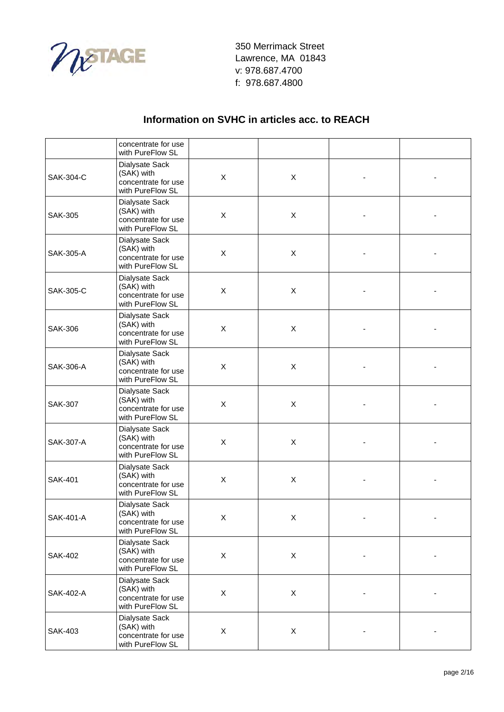

|                  | concentrate for use<br>with PureFlow SL                                 |                           |   |                          |  |
|------------------|-------------------------------------------------------------------------|---------------------------|---|--------------------------|--|
| SAK-304-C        | Dialysate Sack<br>(SAK) with<br>concentrate for use<br>with PureFlow SL | $\mathsf{X}$              | X |                          |  |
| <b>SAK-305</b>   | Dialysate Sack<br>(SAK) with<br>concentrate for use<br>with PureFlow SL | $\mathsf X$               | X |                          |  |
| SAK-305-A        | Dialysate Sack<br>(SAK) with<br>concentrate for use<br>with PureFlow SL | $\pmb{\times}$            | X |                          |  |
| SAK-305-C        | Dialysate Sack<br>(SAK) with<br>concentrate for use<br>with PureFlow SL | $\pmb{\times}$            | X |                          |  |
| <b>SAK-306</b>   | Dialysate Sack<br>(SAK) with<br>concentrate for use<br>with PureFlow SL | $\mathsf{X}$              | X |                          |  |
| <b>SAK-306-A</b> | Dialysate Sack<br>(SAK) with<br>concentrate for use<br>with PureFlow SL | $\mathsf{X}$              | X |                          |  |
| <b>SAK-307</b>   | Dialysate Sack<br>(SAK) with<br>concentrate for use<br>with PureFlow SL | X                         | X |                          |  |
| SAK-307-A        | Dialysate Sack<br>(SAK) with<br>concentrate for use<br>with PureFlow SL | $\boldsymbol{\mathsf{X}}$ | X |                          |  |
| <b>SAK-401</b>   | Dialysate Sack<br>(SAK) with<br>concentrate for use<br>with PureFlow SL | X                         | X |                          |  |
| SAK-401-A        | Dialysate Sack<br>(SAK) with<br>concentrate for use<br>with PureFlow SL | X                         | X |                          |  |
| <b>SAK-402</b>   | Dialysate Sack<br>(SAK) with<br>concentrate for use<br>with PureFlow SL | $\mathsf{X}$              | X | $\overline{\phantom{a}}$ |  |
| SAK-402-A        | Dialysate Sack<br>(SAK) with<br>concentrate for use<br>with PureFlow SL | $\mathsf X$               | X |                          |  |
| <b>SAK-403</b>   | Dialysate Sack<br>(SAK) with<br>concentrate for use<br>with PureFlow SL | X                         | X |                          |  |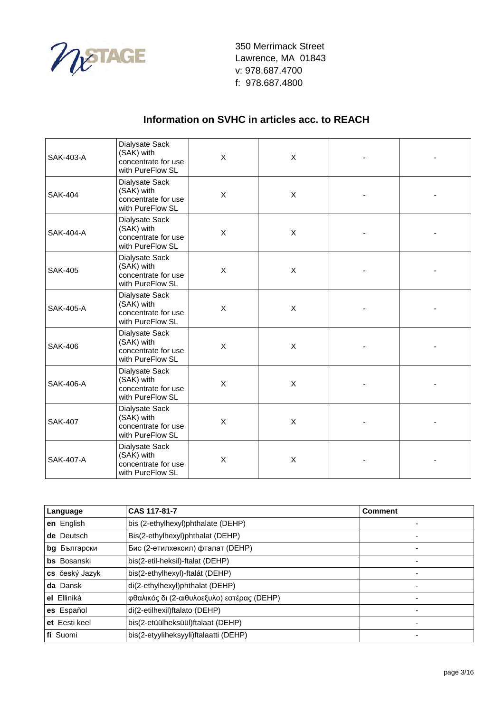

| SAK-403-A        | Dialysate Sack<br>(SAK) with<br>concentrate for use<br>with PureFlow SL | $\mathsf{X}$              | X                         |  |
|------------------|-------------------------------------------------------------------------|---------------------------|---------------------------|--|
| <b>SAK-404</b>   | Dialysate Sack<br>(SAK) with<br>concentrate for use<br>with PureFlow SL | X                         | X                         |  |
| <b>SAK-404-A</b> | Dialysate Sack<br>(SAK) with<br>concentrate for use<br>with PureFlow SL | X                         | X                         |  |
| <b>SAK-405</b>   | Dialysate Sack<br>(SAK) with<br>concentrate for use<br>with PureFlow SL | $\boldsymbol{\mathsf{X}}$ | X                         |  |
| SAK-405-A        | Dialysate Sack<br>(SAK) with<br>concentrate for use<br>with PureFlow SL | $\mathsf{X}$              | $\mathsf{X}$              |  |
| <b>SAK-406</b>   | Dialysate Sack<br>(SAK) with<br>concentrate for use<br>with PureFlow SL | X                         | X                         |  |
| <b>SAK-406-A</b> | Dialysate Sack<br>(SAK) with<br>concentrate for use<br>with PureFlow SL | X                         | $\boldsymbol{\mathsf{X}}$ |  |
| <b>SAK-407</b>   | Dialysate Sack<br>(SAK) with<br>concentrate for use<br>with PureFlow SL | X                         | X                         |  |
| <b>SAK-407-A</b> | Dialysate Sack<br>(SAK) with<br>concentrate for use<br>with PureFlow SL | X                         | X                         |  |

| Language            | CAS 117-81-7                               | <b>Comment</b> |
|---------------------|--------------------------------------------|----------------|
| en English          | bis (2-ethylhexyl)phthalate (DEHP)         |                |
| de Deutsch          | Bis(2-ethylhexyl)phthalat (DEHP)           |                |
| <b>bg</b> Български | Бис (2-етилхексил) фталат (DEHP)           |                |
| <b>bs</b> Bosanski  | bis(2-etil-heksil)-ftalat (DEHP)           |                |
| cs český Jazyk      | bis(2-ethylhexyl)-ftalát (DEHP)            | -              |
| da Dansk            | di(2-ethylhexyl)phthalat (DEHP)            | -              |
| el Elliniká         | φθαλικός δι (2-αιθυλοεξυλο) εστέρας (DEHP) |                |
| es Español          | di(2-etilhexil)ftalato (DEHP)              | ۰              |
| et Eesti keel       | bis(2-etüülheksüül)ftalaat (DEHP)          |                |
| fi Suomi            | bis(2-etyyliheksyyli)ftalaatti (DEHP)      |                |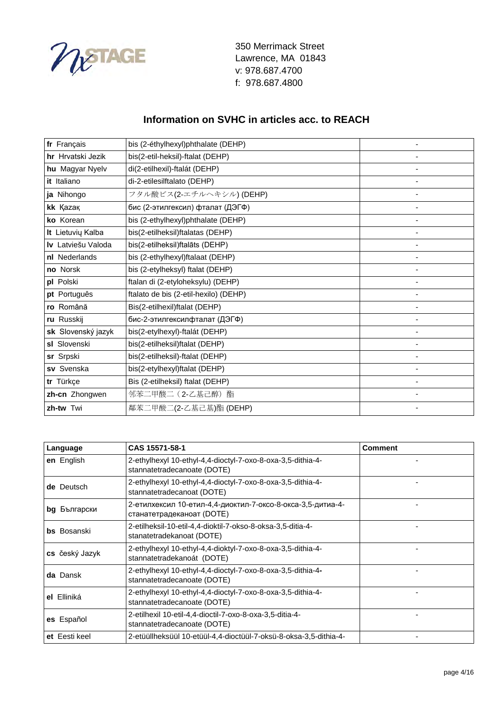

| fr Français        | bis (2-éthylhexyl)phthalate (DEHP)    |  |
|--------------------|---------------------------------------|--|
| hr Hrvatski Jezik  | bis(2-etil-heksil)-ftalat (DEHP)      |  |
| hu Magyar Nyelv    | di(2-etilhexil)-ftalát (DEHP)         |  |
| it Italiano        | di-2-etilesilftalato (DEHP)           |  |
| ja Nihongo         | フタル酸ビス(2-エチルヘキシル) (DEHP)              |  |
| kk Kazak           | бис (2-этилгексил) фталат (ДЭГФ)      |  |
| ko Korean          | bis (2-ethylhexyl)phthalate (DEHP)    |  |
| It Lietuvių Kalba  | bis(2-etilheksil)ftalatas (DEHP)      |  |
| Iv Latviešu Valoda | bis(2-etilheksil)ftalāts (DEHP)       |  |
| nl Nederlands      | bis (2-ethylhexyl)ftalaat (DEHP)      |  |
| no Norsk           | bis (2-etylheksyl) ftalat (DEHP)      |  |
| pl Polski          | ftalan di (2-etyloheksylu) (DEHP)     |  |
| pt Português       | ftalato de bis (2-etil-hexilo) (DEHP) |  |
| ro Română          | Bis(2-etilhexil)ftalat (DEHP)         |  |
| ru Russkij         | бис-2-этилгексилфталат (ДЭГФ)         |  |
| sk Slovenský jazyk | bis(2-etylhexyl)-ftalát (DEHP)        |  |
| sl Slovenski       | bis(2-etilheksil)ftalat (DEHP)        |  |
| sr Srpski          | bis(2-etilheksil)-ftalat (DEHP)       |  |
| sv Svenska         | bis(2-etylhexyl)ftalat (DEHP)         |  |
| tr Türkçe          | Bis (2-etilheksil) ftalat (DEHP)      |  |
| zh-cn Zhongwen     | 邻苯二甲酸二 (2-乙基己醇) 酯                     |  |
| zh-tw Twi          | 鄰苯二甲酸二(2-乙基己基)酯 (DEHP)                |  |

| Language           | CAS 15571-58-1                                                                             | <b>Comment</b> |
|--------------------|--------------------------------------------------------------------------------------------|----------------|
| en English         | 2-ethylhexyl 10-ethyl-4,4-dioctyl-7-oxo-8-oxa-3,5-dithia-4-<br>stannatetradecanoate (DOTE) |                |
| de Deutsch         | 2-ethylhexyl 10-ethyl-4,4-dioctyl-7-oxo-8-oxa-3,5-dithia-4-<br>stannatetradecanoat (DOTE)  |                |
| bg Български       | 2-етилхексил 10-етил-4,4-диоктил-7-оксо-8-окса-3,5-дитиа-4-<br>станатетрадеканоат (DOTE)   |                |
| <b>bs</b> Bosanski | 2-etilheksil-10-etil-4,4-dioktil-7-okso-8-oksa-3,5-ditia-4-<br>stanatetradekanoat (DOTE)   |                |
| cs český Jazyk     | 2-ethylhexyl 10-ethyl-4,4-dioktyl-7-oxo-8-oxa-3,5-dithia-4-<br>stannatetradekanoát (DOTE)  |                |
| da Dansk           | 2-ethylhexyl 10-ethyl-4,4-dioctyl-7-oxo-8-oxa-3,5-dithia-4-<br>stannatetradecanoate (DOTE) |                |
| el Elliniká        | 2-ethylhexyl 10-ethyl-4,4-dioctyl-7-oxo-8-oxa-3,5-dithia-4-<br>stannatetradecanoate (DOTE) |                |
| es Español         | 2-etilhexil 10-etil-4,4-dioctil-7-oxo-8-oxa-3,5-ditia-4-<br>stannatetradecanoate (DOTE)    |                |
| et Eesti keel      | 2-etüüllheksüül 10-etüül-4,4-dioctüül-7-oksü-8-oksa-3,5-dithia-4-                          |                |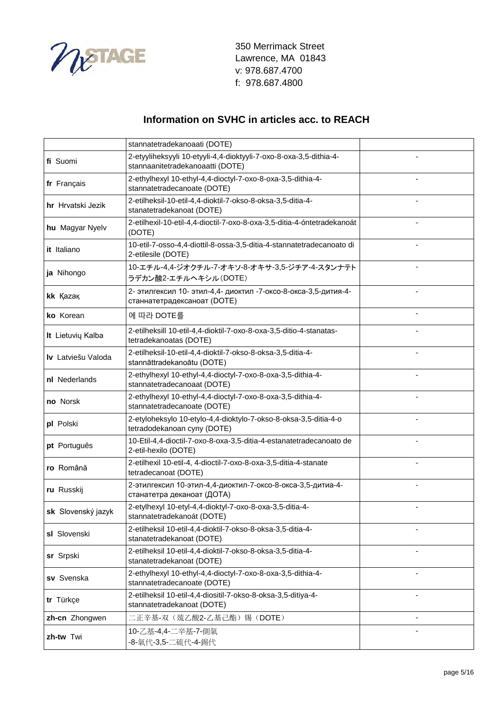

|                    | stannatetradekanoaati (DOTE)                                                                           |  |
|--------------------|--------------------------------------------------------------------------------------------------------|--|
| fi Suomi           | 2-etyyliheksyyli 10-etyyli-4,4-dioktyyli-7-oxo-8-oxa-3,5-dithia-4-<br>stannaanitetradekanoaatti (DOTE) |  |
| fr Français        | 2-ethylhexyl 10-ethyl-4,4-dioctyl-7-oxo-8-oxa-3,5-dithia-4-<br>stannatetradecanoate (DOTE)             |  |
| hr Hrvatski Jezik  | 2-etilheksil-10-etil-4,4-dioktil-7-okso-8-oksa-3,5-ditia-4-<br>stanatetradekanoat (DOTE)               |  |
| hu Magyar Nyelv    | 2-etilhexil-10-etil-4,4-dioctil-7-oxo-8-oxa-3,5-ditia-4-óntetradekanoát<br>(DOTE)                      |  |
| it Italiano        | 10-etil-7-osso-4,4-diottil-8-ossa-3,5-ditia-4-stannatetradecanoato di<br>2-etilesile (DOTE)            |  |
| ja Nihongo         | 10-エチル-4,4-ジオクチル-7-オキソ-8-オキサ-3,5-ジチア-4-スタンナテト<br>ラデカン酸2-エチルヘキシル(DOTE)                                  |  |
| kk Kazak           | 2- этилгексил 10- этил-4,4- диоктил -7-оксо-8-окса-3,5-дития-4-<br>станнатетрадексаноат (DOTE)         |  |
| ko Korean          | 에 따라 DOTE를                                                                                             |  |
| It Lietuvių Kalba  | 2-etilheksill 10-etil-4,4-dioktil-7-oxo-8-oxa-3,5-ditio-4-stanatas-<br>tetradekanoatas (DOTE)          |  |
| Iv Latviešu Valoda | 2-etilheksil-10-etil-4,4-dioktil-7-okso-8-oksa-3,5-ditia-4-<br>stannāttradekanoātu (DOTE)              |  |
| nl Nederlands      | 2-ethylhexyl 10-ethyl-4,4-dioctyl-7-oxo-8-oxa-3,5-dithia-4-<br>stannatetradecanoaat (DOTE)             |  |
| no Norsk           | 2-ethylhexyl 10-ethyl-4,4-dioctyl-7-oxo-8-oxa-3,5-dithia-4-<br>stannatetradecanoate (DOTE)             |  |
| pl Polski          | 2-etyloheksylo 10-etylo-4,4-dioktylo-7-okso-8-oksa-3,5-ditia-4-o<br>tetradodekanoan cyny (DOTE)        |  |
| pt Português       | 10-Etil-4,4-dioctil-7-oxo-8-oxa-3,5-ditia-4-estanatetradecanoato de<br>2-etil-hexilo (DOTE)            |  |
| ro Română          | 2-etilhexil 10-etil-4, 4-dioctil-7-oxo-8-oxa-3,5-ditia-4-stanate<br>tetradecanoat (DOTE)               |  |
| ru Russkij         | 2-этилгексил 10-этил-4,4-диоктил-7-оксо-8-окса-3,5-дитиа-4-<br>станатетра деканоат (ДОТА)              |  |
| sk Slovenský jazyk | 2-etylhexyl 10-etyl-4,4-dioktyl-7-oxo-8-oxa-3,5-ditia-4-<br>stannatetradekanoát (DOTE)                 |  |
| sl Slovenski       | 2-etilheksil 10-etil-4,4-dioktil-7-okso-8-oksa-3,5-ditia-4-<br>stanatetradekanoat (DOTE)               |  |
| sr Srpski          | 2-etilheksil 10-etil-4,4-dioktil-7-okso-8-oksa-3,5-ditia-4-<br>stanatetradekanoat (DOTE)               |  |
| sv Svenska         | 2-ethylhexyl 10-ethyl-4,4-dioctyl-7-oxo-8-oxa-3,5-dithia-4-<br>stannatetradecanoate (DOTE)             |  |
| tr Türkçe          | 2-etilheksil 10-etil-4,4-diositil-7-okso-8-oksa-3,5-ditiya-4-<br>stannatetradekanoat (DOTE)            |  |
| zh-cn Zhongwen     | 二正辛基-双(巯乙酸2-乙基己酯)锡(DOTE)                                                                               |  |
| zh-tw Twi          | 10-乙基-4,4-二辛基-7-側氧<br>-8-氧代-3,5-二硫代-4-錫代                                                               |  |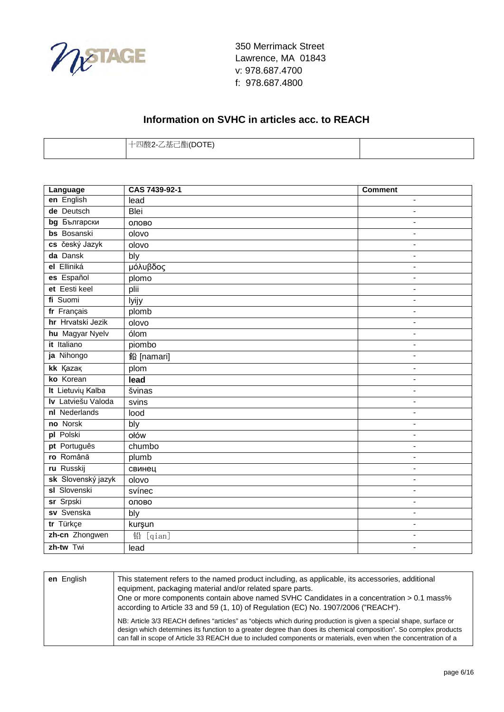

| .∈ 己 四言(エ)( )エ ト ) ―<br>್ಲ− ಆ≝ು ⊔¤¤(്്' ⊨)<br>∸⊨∼ |  |
|---------------------------------------------------|--|
|                                                   |  |

| Language            | CAS 7439-92-1 | Comment                      |
|---------------------|---------------|------------------------------|
| en English          | lead          | $\overline{\phantom{0}}$     |
| de Deutsch          | Blei          | $\overline{\phantom{a}}$     |
| <b>bg</b> Български | олово         | $\qquad \qquad \blacksquare$ |
| <b>bs</b> Bosanski  | olovo         | $\blacksquare$               |
| cs český Jazyk      | olovo         | $\qquad \qquad \blacksquare$ |
| da Dansk            | bly           | $\qquad \qquad \blacksquare$ |
| el Elliniká         | μόλυβδος      | ٠                            |
| es Español          | plomo         | $\overline{\phantom{0}}$     |
| et Eesti keel       | plii          | $\blacksquare$               |
| fi Suomi            | lyijy         | $\qquad \qquad \blacksquare$ |
| fr Français         | plomb         | $\frac{1}{2}$                |
| hr Hrvatski Jezik   | olovo         | ٠                            |
| hu Magyar Nyelv     | ólom          | $\blacksquare$               |
| it Italiano         | piombo        | $\qquad \qquad \blacksquare$ |
| ja Nihongo          | 鉛 [namari]    | $\overline{\phantom{a}}$     |
| kk Kazak            | plom          | $\blacksquare$               |
| ko Korean           | lead          | $\blacksquare$               |
| It Lietuvių Kalba   | svinas        | $\blacksquare$               |
| Iv Latviešu Valoda  | svins         | $\blacksquare$               |
| nl Nederlands       | lood          | $\overline{\phantom{0}}$     |
| no Norsk            | bly           | $\qquad \qquad \blacksquare$ |
| pl Polski           | ołów          | $\overline{\phantom{a}}$     |
| pt Português        | chumbo        | $\blacksquare$               |
| ro Română           | plumb         | $\blacksquare$               |
| ru Russkij          | свинец        | $\overline{\phantom{0}}$     |
| sk Slovenský jazyk  | olovo         | $\overline{\phantom{0}}$     |
| sl Slovenski        | svínec        | $\overline{\phantom{a}}$     |
| sr Srpski           | олово         | $\frac{1}{2}$                |
| sv Svenska          | bly           | $\overline{\phantom{0}}$     |
| tr Türkçe           | kurşun        | $\qquad \qquad \blacksquare$ |
| zh-cn Zhongwen      | 铅<br>[qian]   | $\overline{\phantom{a}}$     |
| zh-tw Twi           | lead          | $\overline{\phantom{a}}$     |

| en English | This statement refers to the named product including, as applicable, its accessories, additional<br>equipment, packaging material and/or related spare parts.<br>One or more components contain above named SVHC Candidates in a concentration > 0.1 mass%<br>according to Article 33 and 59 (1, 10) of Regulation (EC) No. 1907/2006 ("REACH").          |
|------------|-----------------------------------------------------------------------------------------------------------------------------------------------------------------------------------------------------------------------------------------------------------------------------------------------------------------------------------------------------------|
|            | NB: Article 3/3 REACH defines "articles" as "objects which during production is given a special shape, surface or<br>design which determines its function to a greater degree than does its chemical composition". So complex products<br>can fall in scope of Article 33 REACH due to included components or materials, even when the concentration of a |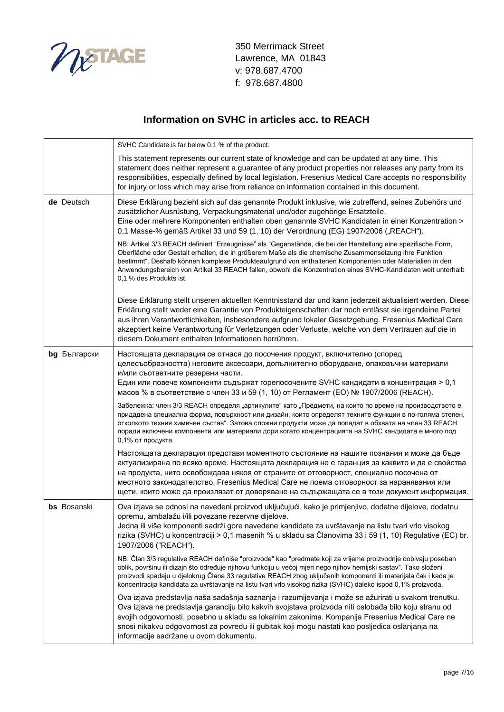

|              | SVHC Candidate is far below 0.1 % of the product.                                                                                                                                                                                                                                                                                                                                                                                                                                   |
|--------------|-------------------------------------------------------------------------------------------------------------------------------------------------------------------------------------------------------------------------------------------------------------------------------------------------------------------------------------------------------------------------------------------------------------------------------------------------------------------------------------|
|              | This statement represents our current state of knowledge and can be updated at any time. This<br>statement does neither represent a guarantee of any product properties nor releases any party from its<br>responsibilities, especially defined by local legislation. Fresenius Medical Care accepts no responsibility<br>for injury or loss which may arise from reliance on information contained in this document.                                                               |
| de Deutsch   | Diese Erklärung bezieht sich auf das genannte Produkt inklusive, wie zutreffend, seines Zubehörs und<br>zusätzlicher Ausrüstung, Verpackungsmaterial und/oder zugehörige Ersatzteile.<br>Eine oder mehrere Komponenten enthalten oben genannte SVHC Kandidaten in einer Konzentration ><br>0,1 Masse-% gemäß Artikel 33 und 59 (1, 10) der Verordnung (EG) 1907/2006 ("REACH").                                                                                                     |
|              | NB: Artikel 3/3 REACH definiert "Erzeugnisse" als "Gegenstände, die bei der Herstellung eine spezifische Form,<br>Oberfläche oder Gestalt erhalten, die in größerem Maße als die chemische Zusammensetzung ihre Funktion<br>bestimmt". Deshalb können komplexe Produkteaufgrund von enthaltenen Komponenten oder Materialien in den<br>Anwendungsbereich von Artikel 33 REACH fallen, obwohl die Konzentration eines SVHC-Kandidaten weit unterhalb<br>0,1 % des Produkts ist.      |
|              | Diese Erklärung stellt unseren aktuellen Kenntnisstand dar und kann jederzeit aktualisiert werden. Diese<br>Erklärung stellt weder eine Garantie von Produkteigenschaften dar noch entlässt sie irgendeine Partei<br>aus ihren Verantwortlichkeiten, insbesondere aufgrund lokaler Gesetzgebung. Fresenius Medical Care<br>akzeptiert keine Verantwortung für Verletzungen oder Verluste, welche von dem Vertrauen auf die in<br>diesem Dokument enthalten Informationen herrühren. |
| bg Български | Настоящата декларация се отнася до посочения продукт, включително (според<br>целесъобразността) неговите аксесоари, допълнително оборудване, опаковъчни материали<br>и/или съответните резервни части.<br>Един или повече компоненти съдържат горепосочените SVHC кандидати в концентрация > 0,1<br>масов % в съответствие с член 33 и 59 (1, 10) от Регламент (ЕО) № 1907/2006 (REACH).                                                                                            |
|              | Забележка: член 3/3 REACH определя "артикулите" като "Предмети, на които по време на производството е<br>придадена специална форма, повърхност или дизайн, които определят техните функции в по-голяма степен,<br>отколкото техния химичен състав". Затова сложни продукти може да попадат в обхвата на член 33 REACH<br>поради включени компоненти или материали дори когато концентрацията на SVHC кандидата е много под<br>0,1% от продукта.                                     |
|              | Настоящата декларация представя моментното състояние на нашите познания и може да бъде<br>актуализирана по всяко време. Настоящата декларация не е гаранция за каквито и да е свойства<br>на продукта, нито освобождава някоя от страните от отговорност, специално посочена от<br>местното законодателство. Fresenius Medical Care не поема отговорност за наранявания или<br>щети, които може да произлязат от доверяване на съдържащата се в този документ информация.           |
| bs Bosanski  | Ova izjava se odnosi na navedeni proizvod uključujući, kako je primjenjivo, dodatne dijelove, dodatnu<br>opremu, ambalažu i/ili povezane rezervne dijelove.<br>Jedna ili više komponenti sadrži gore navedene kandidate za uvrštavanje na listu tvari vrlo visokog<br>rizika (SVHC) u koncentraciji > 0,1 masenih % u skladu sa Članovima 33 i 59 (1, 10) Regulative (EC) br.<br>1907/2006 ("REACH").                                                                               |
|              | NB: Član 3/3 regulative REACH definiše "proizvode" kao "predmete koji za vrijeme proizvodnje dobivaju poseban<br>oblik, površinu ili dizajn što određuje njihovu funkciju u većoj mjeri nego njihov hemijski sastav". Tako složeni<br>proizvodi spadaju u djelokrug Člana 33 regulative REACH zbog uključenih komponenti ili materijala čak i kada je<br>koncentracija kandidata za uvrštavanje na listu tvari vrlo visokog rizika (SVHC) daleko ispod 0,1% proizvoda.              |
|              | Ova izjava predstavlja naša sadašnja saznanja i razumijevanja i može se ažurirati u svakom trenutku.<br>Ova izjava ne predstavlja garanciju bilo kakvih svojstava proizvoda niti oslobađa bilo koju stranu od<br>svojih odgovornosti, posebno u skladu sa lokalnim zakonima. Kompanija Fresenius Medical Care ne<br>snosi nikakvu odgovornost za povredu ili gubitak koji mogu nastati kao posljedica oslanjanja na<br>informacije sadržane u ovom dokumentu.                       |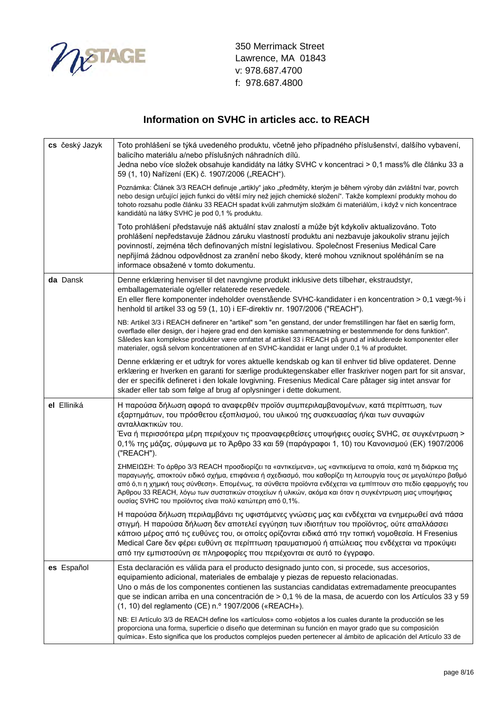

| cs český Jazyk | Toto prohlášení se týká uvedeného produktu, včetně jeho případného příslušenství, dalšího vybavení,<br>balicího materiálu a/nebo příslušných náhradních dílů.<br>Jedna nebo více složek obsahuje kandidáty na látky SVHC v koncentraci > 0,1 mass% dle článku 33 a<br>59 (1, 10) Nařízení (EK) č. 1907/2006 ("REACH").                                                                                                                                                                                          |
|----------------|-----------------------------------------------------------------------------------------------------------------------------------------------------------------------------------------------------------------------------------------------------------------------------------------------------------------------------------------------------------------------------------------------------------------------------------------------------------------------------------------------------------------|
|                | Poznámka: Článek 3/3 REACH definuje "artikly" jako "předměty, kterým je během výroby dán zvláštní tvar, povrch<br>nebo design určující jejich funkci do větší míry než jejich chemické složení". Takže komplexní produkty mohou do<br>tohoto rozsahu podle článku 33 REACH spadat kvůli zahrnutým složkám či materiálům, i když v nich koncentrace<br>kandidátů na látky SVHC je pod 0,1 % produktu.                                                                                                            |
|                | Toto prohlášení představuje náš aktuální stav znalostí a může být kdykoliv aktualizováno. Toto<br>prohlášení nepředstavuje žádnou záruku vlastností produktu ani nezbavuje jakoukoliv stranu jejích<br>povinností, zejména těch definovaných místní legislativou. Společnost Fresenius Medical Care<br>nepřijímá žádnou odpovědnost za zranění nebo škody, které mohou vzniknout spoléháním se na<br>informace obsažené v tomto dokumentu.                                                                      |
| da Dansk       | Denne erklæring henviser til det navngivne produkt inklusive dets tilbehør, ekstraudstyr,<br>emballagemateriale og/eller relaterede reservedele.<br>En eller flere komponenter indeholder ovenstående SVHC-kandidater i en koncentration > 0,1 vægt-% i<br>henhold til artikel 33 og 59 (1, 10) i EF-direktiv nr. 1907/2006 ("REACH").                                                                                                                                                                          |
|                | NB: Artikel 3/3 i REACH definerer en "artikel" som "en genstand, der under fremstillingen har fået en særlig form,<br>overflade eller design, der i højere grad end den kemiske sammensætning er bestemmende for dens funktion".<br>Således kan komplekse produkter være omfattet af artikel 33 i REACH på grund af inkluderede komponenter eller<br>materialer, også selvom koncentrationen af en SVHC-kandidat er langt under 0,1 % af produktet.                                                             |
|                | Denne erklæring er et udtryk for vores aktuelle kendskab og kan til enhver tid blive opdateret. Denne<br>erklæring er hverken en garanti for særlige produktegenskaber eller fraskriver nogen part for sit ansvar,<br>der er specifik defineret i den lokale lovgivning. Fresenius Medical Care påtager sig intet ansvar for<br>skader eller tab som følge af brug af oplysninger i dette dokument.                                                                                                             |
| el Elliniká    | Η παρούσα δήλωση αφορά το αναφερθέν προϊόν συμπεριλαμβανομένων, κατά περίπτωση, των<br>εξαρτημάτων, του πρόσθετου εξοπλισμού, του υλικού της συσκευασίας ή/και των συναφών<br>ανταλλακτικών του.<br>Ένα ή περισσότερα μέρη περιέχουν τις προαναφερθείσες υποψήφιες ουσίες SVHC, σε συγκέντρωση ><br>0,1% της μάζας, σύμφωνα με το Άρθρο 33 και 59 (παράγραφοι 1, 10) του Κανονισμού (ΕΚ) 1907/2006<br>("REACH").                                                                                                |
|                | ΣΗΜΕΙΩΣΗ: Το άρθρο 3/3 REACH προσδιορίζει τα «αντικείμενα», ως «αντικείμενα τα οποία, κατά τη διάρκεια της<br>παραγωγής, αποκτούν ειδικό σχήμα, επιφάνεια ή σχεδιασμό, που καθορίζει τη λειτουργία τους σε μεγαλύτερο βαθμό<br>από ό,τι η χημική τους σύνθεση». Επομένως, τα σύνθετα προϊόντα ενδέχεται να εμπίπτουν στο πεδίο εφαρμογής του<br>Άρθρου 33 REACH, λόγω των συστατικών στοιχείων ή υλικών, ακόμα και όταν η συγκέντρωση μιας υποψήφιας<br>ουσίας SVHC του προϊόντος είναι πολύ κατώτερη από 0,1%. |
|                | Η παρούσα δήλωση περιλαμβάνει τις υφιστάμενες γνώσεις μας και ενδέχεται να ενημερωθεί ανά πάσα<br>στιγμή. Η παρούσα δήλωση δεν αποτελεί εγγύηση των ιδιοτήτων του προϊόντος, ούτε απαλλάσσει<br>κάποιο μέρος από τις ευθύνες του, οι οποίες ορίζονται ειδικά από την τοπική νομοθεσία. Η Fresenius<br>Medical Care δεν φέρει ευθύνη σε περίπτωση τραυματισμού ή απώλειας που ενδέχεται να προκύψει<br>από την εμπιστοσύνη σε πληροφορίες που περιέχονται σε αυτό το έγγραφο.                                    |
| es Español     | Esta declaración es válida para el producto designado junto con, si procede, sus accesorios,<br>equipamiento adicional, materiales de embalaje y piezas de repuesto relacionadas.<br>Uno o más de los componentes contienen las sustancias candidatas extremadamente preocupantes<br>que se indican arriba en una concentración de > 0,1 % de la masa, de acuerdo con los Artículos 33 y 59<br>(1, 10) del reglamento (CE) n.º 1907/2006 («REACH»).                                                             |
|                | NB: El Artículo 3/3 de REACH define los «artículos» como «objetos a los cuales durante la producción se les<br>proporciona una forma, superficie o diseño que determinan su función en mayor grado que su composición<br>química». Esto significa que los productos complejos pueden pertenecer al ámbito de aplicación del Artículo 33 de                                                                                                                                                                      |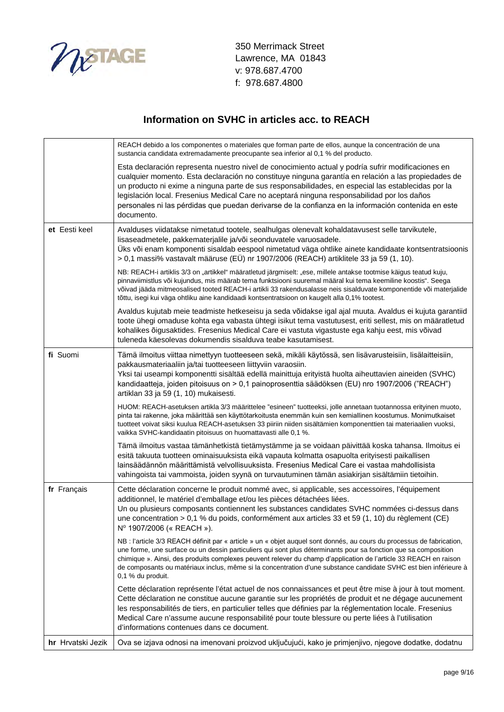

|                   | REACH debido a los componentes o materiales que forman parte de ellos, aunque la concentración de una<br>sustancia candidata extremadamente preocupante sea inferior al 0,1 % del producto.                                                                                                                                                                                                                                                                                                                                         |
|-------------------|-------------------------------------------------------------------------------------------------------------------------------------------------------------------------------------------------------------------------------------------------------------------------------------------------------------------------------------------------------------------------------------------------------------------------------------------------------------------------------------------------------------------------------------|
|                   | Esta declaración representa nuestro nivel de conocimiento actual y podría sufrir modificaciones en<br>cualquier momento. Esta declaración no constituye ninguna garantía en relación a las propiedades de<br>un producto ni exime a ninguna parte de sus responsabilidades, en especial las establecidas por la<br>legislación local. Fresenius Medical Care no aceptará ninguna responsabilidad por los daños<br>personales ni las pérdidas que puedan derivarse de la confianza en la información contenida en este<br>documento. |
| et Eesti keel     | Avalduses viidatakse nimetatud tootele, sealhulgas olenevalt kohaldatavusest selle tarvikutele,<br>lisaseadmetele, pakkematerjalile ja/või seonduvatele varuosadele.<br>Üks või enam komponenti sisaldab eespool nimetatud väga ohtlike ainete kandidaate kontsentratsioonis<br>> 0,1 massi% vastavalt määruse (EÜ) nr 1907/2006 (REACH) artiklitele 33 ja 59 (1, 10).                                                                                                                                                              |
|                   | NB: REACH-i artiklis 3/3 on "artikkel" määratletud järgmiselt: "ese, millele antakse tootmise käigus teatud kuju,<br>pinnaviimistlus või kujundus, mis määrab tema funktsiooni suuremal määral kui tema keemiline koostis". Seega<br>võivad jääda mitmeosalised tooted REACH-i artikli 33 rakendusalasse neis sisalduvate komponentide või materjalide<br>tõttu, isegi kui väga ohtliku aine kandidaadi kontsentratsioon on kaugelt alla 0,1% tootest.                                                                              |
|                   | Avaldus kujutab meie teadmiste hetkeseisu ja seda võidakse igal ajal muuta. Avaldus ei kujuta garantiid<br>toote ühegi omaduse kohta ega vabasta ühtegi isikut tema vastutusest, eriti sellest, mis on määratletud<br>kohalikes õigusaktides. Fresenius Medical Care ei vastuta vigastuste ega kahju eest, mis võivad<br>tuleneda käesolevas dokumendis sisalduva teabe kasutamisest.                                                                                                                                               |
| fi Suomi          | Tämä ilmoitus viittaa nimettyyn tuotteeseen sekä, mikäli käytössä, sen lisävarusteisiin, lisälaitteisiin,<br>pakkausmateriaaliin ja/tai tuotteeseen liittyviin varaosiin.<br>Yksi tai useampi komponentti sisältää edellä mainittuja erityistä huolta aiheuttavien aineiden (SVHC)<br>kandidaatteja, joiden pitoisuus on > 0,1 painoprosenttia säädöksen (EU) nro 1907/2006 ("REACH")<br>artiklan 33 ja 59 (1, 10) mukaisesti.                                                                                                      |
|                   | HUOM: REACH-asetuksen artikla 3/3 määrittelee "esineen" tuotteeksi, jolle annetaan tuotannossa erityinen muoto,<br>pinta tai rakenne, joka määrittää sen käyttötarkoitusta enemmän kuin sen kemiallinen koostumus. Monimutkaiset<br>tuotteet voivat siksi kuulua REACH-asetuksen 33 piiriin niiden sisältämien komponenttien tai materiaalien vuoksi,<br>vaikka SVHC-kandidaatin pitoisuus on huomattavasti alle 0,1 %.                                                                                                             |
|                   | Tämä ilmoitus vastaa tämänhetkistä tietämystämme ja se voidaan päivittää koska tahansa. Ilmoitus ei<br>esitä takuuta tuotteen ominaisuuksista eikä vapauta kolmatta osapuolta erityisesti paikallisen<br>lainsäädännön määrittämistä velvollisuuksista. Fresenius Medical Care ei vastaa mahdollisista<br>vahingoista tai vammoista, joiden syynä on turvautuminen tämän asiakirjan sisältämiin tietoihin.                                                                                                                          |
| fr Français       | Cette déclaration concerne le produit nommé avec, si applicable, ses accessoires, l'équipement<br>additionnel, le matériel d'emballage et/ou les pièces détachées liées.<br>Un ou plusieurs composants contiennent les substances candidates SVHC nommées ci-dessus dans<br>une concentration > 0,1 % du poids, conformément aux articles 33 et 59 (1, 10) du règlement (CE)<br>Nº 1907/2006 (« REACH »).                                                                                                                           |
|                   | NB : l'article 3/3 REACH définit par « article » un « objet auquel sont donnés, au cours du processus de fabrication,<br>une forme, une surface ou un dessin particuliers qui sont plus déterminants pour sa fonction que sa composition<br>chimique ». Ainsi, des produits complexes peuvent relever du champ d'application de l'article 33 REACH en raison<br>de composants ou matériaux inclus, même si la concentration d'une substance candidate SVHC est bien inférieure à<br>0,1 % du produit.                               |
|                   | Cette déclaration représente l'état actuel de nos connaissances et peut être mise à jour à tout moment.<br>Cette déclaration ne constitue aucune garantie sur les propriétés de produit et ne dégage aucunement<br>les responsabilités de tiers, en particulier telles que définies par la réglementation locale. Fresenius<br>Medical Care n'assume aucune responsabilité pour toute blessure ou perte liées à l'utilisation<br>d'informations contenues dans ce document.                                                         |
| hr Hrvatski Jezik | Ova se izjava odnosi na imenovani proizvod uključujući, kako je primjenjivo, njegove dodatke, dodatnu                                                                                                                                                                                                                                                                                                                                                                                                                               |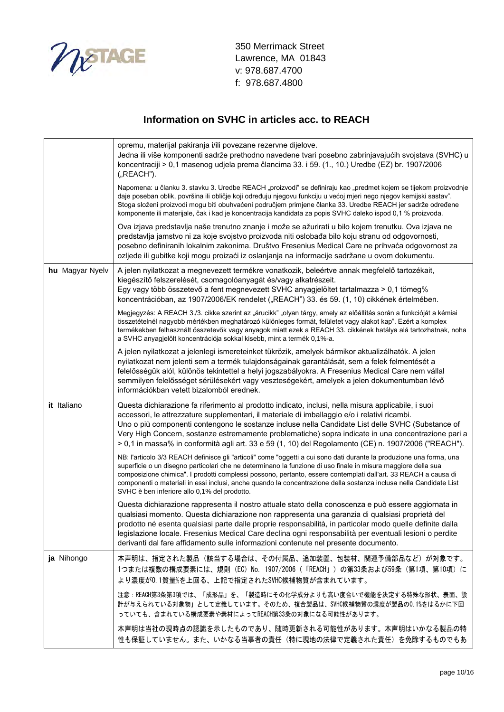

|                 | opremu, materijal pakiranja i/ili povezane rezervne dijelove.<br>Jedna ili više komponenti sadrže prethodno navedene tvari posebno zabrinjavajućih svojstava (SVHC) u<br>koncentraciji > 0,1 masenog udjela prema člancima 33. i 59. (1., 10.) Uredbe (EZ) br. 1907/2006<br>("REACH").                                                                                                                                                                                                                                         |
|-----------------|--------------------------------------------------------------------------------------------------------------------------------------------------------------------------------------------------------------------------------------------------------------------------------------------------------------------------------------------------------------------------------------------------------------------------------------------------------------------------------------------------------------------------------|
|                 | Napomena: u članku 3. stavku 3. Uredbe REACH "proizvodi" se definiraju kao "predmet kojem se tijekom proizvodnje<br>daje poseban oblik, površina ili obličje koji određuju njegovu funkciju u većoj mjeri nego njegov kemijski sastav".<br>Stoga složeni proizvodi mogu biti obuhvaćeni područjem primjene članka 33. Uredbe REACH jer sadrže određene<br>komponente ili materijale, čak i kad je koncentracija kandidata za popis SVHC daleko ispod 0,1 % proizvoda.                                                          |
|                 | Ova izjava predstavlja naše trenutno znanje i može se ažurirati u bilo kojem trenutku. Ova izjava ne<br>predstavlja jamstvo ni za koje svojstvo proizvoda niti oslobađa bilo koju stranu od odgovornosti,<br>posebno definiranih lokalnim zakonima. Društvo Fresenius Medical Care ne prihvaća odgovornost za<br>ozljede ili gubitke koji mogu proizaći iz oslanjanja na informacije sadržane u ovom dokumentu.                                                                                                                |
| hu Magyar Nyelv | A jelen nyilatkozat a megnevezett termékre vonatkozik, beleértve annak megfelelő tartozékait,<br>kiegészítő felszerelését, csomagolóanyagát és/vagy alkatrészeit.<br>Egy vagy több összetevő a fent megnevezett SVHC anyagjelöltet tartalmazza > 0,1 tömeg%<br>koncentrációban, az 1907/2006/EK rendelet ("REACH") 33. és 59. (1, 10) cikkének értelmében.                                                                                                                                                                     |
|                 | Megjegyzés: A REACH 3./3. cikke szerint az "árucikk" "olyan tárgy, amely az előállítás során a funkcióját a kémiai<br>összetételnél nagyobb mértékben meghatározó különleges formát, felületet vagy alakot kap". Ezért a komplex<br>termékekben felhasznált összetevők vagy anyagok miatt ezek a REACH 33. cikkének hatálya alá tartozhatnak, noha<br>a SVHC anyagjelölt koncentrációja sokkal kisebb, mint a termék 0,1%-a.                                                                                                   |
|                 | A jelen nyilatkozat a jelenlegi ismereteinket tükrözik, amelyek bármikor aktualizálhatók. A jelen<br>nyilatkozat nem jelenti sem a termék tulajdonságainak garantálását, sem a felek felmentését a<br>felelősségük alól, különös tekintettel a helyi jogszabályokra. A Fresenius Medical Care nem vállal<br>semmilyen felelősséget sérülésekért vagy veszteségekért, amelyek a jelen dokumentumban lévő<br>információkban vetett bizalomból erednek.                                                                           |
| it Italiano     | Questa dichiarazione fa riferimento al prodotto indicato, inclusi, nella misura applicabile, i suoi<br>accessori, le attrezzature supplementari, il materiale di imballaggio e/o i relativi ricambi.<br>Uno o più componenti contengono le sostanze incluse nella Candidate List delle SVHC (Substance of<br>Very High Concern, sostanze estremamente problematiche) sopra indicate in una concentrazione pari a<br>> 0,1 in massa% in conformità agli art. 33 e 59 (1, 10) del Regolamento (CE) n. 1907/2006 ("REACH").       |
|                 | NB: l'articolo 3/3 REACH definisce gli "articoli" come "oggetti a cui sono dati durante la produzione una forma, una<br>superficie o un disegno particolari che ne determinano la funzione di uso finale in misura maggiore della sua<br>composizione chimica". I prodotti complessi possono, pertanto, essere contemplati dall'art. 33 REACH a causa di<br>componenti o materiali in essi inclusi, anche quando la concentrazione della sostanza inclusa nella Candidate List<br>SVHC è ben inferiore allo 0,1% del prodotto. |
|                 | Questa dichiarazione rappresenta il nostro attuale stato della conoscenza e può essere aggiornata in<br>qualsiasi momento. Questa dichiarazione non rappresenta una garanzia di qualsiasi proprietà del<br>prodotto né esenta qualsiasi parte dalle proprie responsabilità, in particolar modo quelle definite dalla<br>legislazione locale. Fresenius Medical Care declina ogni responsabilità per eventuali lesioni o perdite<br>derivanti dal fare affidamento sulle informazioni contenute nel presente documento.         |
| ja Nihongo      | 本声明は、指定された製品(該当する場合は、その付属品、追加装置、包装材、関連予備部品など)が対象です。<br>1つまたは複数の構成要素には、規則 (EC) No. 1907/2006 (「REACH」) の第33条および59条 (第1項、第10項) に<br>より濃度が0.1質量%を上回る、上記で指定されたSVHC候補物質が含まれています。                                                                                                                                                                                                                                                                                                                                                    |
|                 | 注意:REACH第3条第3項では、「成形品」を、「製造時にその化学成分よりも高い度合いで機能を決定する特殊な形状、表面、設<br>計が与えられている対象物」として定義しています。そのため、複合製品は、SVHC候補物質の濃度が製品の0.1%をはるかに下回<br>っていても、含まれている構成要素や素材によってREACH第33条の対象になる可能性があります。                                                                                                                                                                                                                                                                                                                                              |
|                 | 本声明は当社の現時点の認識を示したものであり、随時更新される可能性があります。本声明はいかなる製品の特<br>性も保証していません。また、いかなる当事者の責任(特に現地の法律で定義された責任)を免除するものでもあ                                                                                                                                                                                                                                                                                                                                                                                                                     |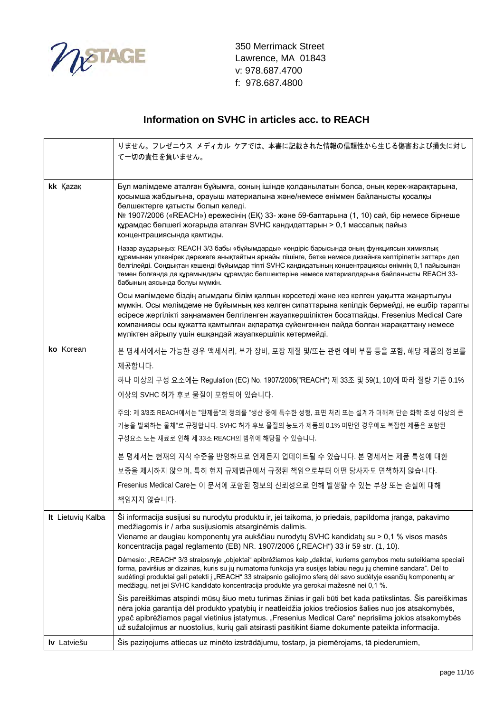

|                          | りません。フレゼニウス メディカル ケアでは、本書に記載された情報の信頼性から生じる傷害および損失に対し<br>て一切の責任を負いません。                                                                                                                                                                                                                                                                                                                                                                             |
|--------------------------|---------------------------------------------------------------------------------------------------------------------------------------------------------------------------------------------------------------------------------------------------------------------------------------------------------------------------------------------------------------------------------------------------------------------------------------------------|
| kk Kazak                 | Бұл мәлімдеме аталған бұйымға, соның ішінде қолданылатын болса, оның керек-жарақтарына,<br>қосымша жабдығына, орауыш материалына және/немесе өніммен байланысты қосалқы<br>бөлшектерге қатысты болып келеді.<br>№ 1907/2006 («REACH») ережесінің (ЕҚ) 33- және 59-баптарына (1, 10) сай, бір немесе бірнеше<br>құрамдас бөлшегі жоғарыда аталған SVHC кандидаттарын > 0,1 массалық пайыз<br>концентрациясында қамтиды.                            |
|                          | Назар аударыңыз: REACH 3/3 бабы «бұйымдарды» «өндіріс барысында оның функциясын химиялық<br>құрамынан үлкенірек дәрежеге анықтайтын арнайы пішінге, бетке немесе дизайнға келтірілетін заттар» деп<br>белгілейді. Сондықтан кешенді бұйымдар тіпті SVHC кандидатының концентрациясы өнімнің 0,1 пайызынан<br>төмен болғанда да құрамындағы құрамдас бөлшектеріне немесе материалдарына байланысты REACH 33-<br>бабының аясында болуы мүмкін.      |
|                          | Осы мәлімдеме біздің ағымдағы білім қалпын көрсетеді және кез келген уақытта жаңартылуы<br>мүмкін. Осы мәлімдеме не бұйымның кез келген сипаттарына кепілдік бермейді, не ешбір тарапты<br>әсіресе жергілікті заңнамамен белгіленген жауапкершіліктен босатпайды. Fresenius Medical Care<br>компаниясы осы құжатта қамтылған ақпаратқа сүйенгеннен пайда болған жарақаттану немесе<br>мүліктен айрылу үшін ешқандай жауапкершілік көтермейді.     |
| ko Korean                | 본 명세서에서는 가능한 경우 액세서리, 부가 장비, 포장 재질 및/또는 관련 예비 부품 등을 포함, 해당 제품의 정보를                                                                                                                                                                                                                                                                                                                                                                                |
|                          | 제공합니다.                                                                                                                                                                                                                                                                                                                                                                                                                                            |
|                          | 하나 이상의 구성 요소에는 Regulation (EC) No. 1907/2006("REACH") 제 33조 및 59(1, 10)에 따라 질량 기준 0.1%                                                                                                                                                                                                                                                                                                                                                            |
|                          | 이상의 SVHC 허가 후보 물질이 포함되어 있습니다.                                                                                                                                                                                                                                                                                                                                                                                                                     |
|                          | 주의: 제 3/3조 REACH에서는 "완제품"의 정의를 "생산 중에 특수한 성형, 표면 처리 또는 설계가 더해져 단순 화학 조성 이상의 큰<br>기능을 발휘하는 물체"로 규정합니다. SVHC 허가 후보 물질의 농도가 제품의 0.1% 미만인 경우에도 복잡한 제품은 포함된<br>구성요소 또는 재료로 인해 제 33조 REACH의 범위에 해당될 수 있습니다.                                                                                                                                                                                                                                             |
|                          | 본 명세서는 현재의 지식 수준을 반영하므로 언제든지 업데이트될 수 있습니다. 본 명세서는 제품 특성에 대한                                                                                                                                                                                                                                                                                                                                                                                       |
|                          | 보증을 제시하지 않으며, 특히 현지 규제법규에서 규정된 책임으로부터 어떤 당사자도 면책하지 않습니다.                                                                                                                                                                                                                                                                                                                                                                                          |
|                          | Fresenius Medical Care는 이 문서에 포함된 정보의 신뢰성으로 인해 발생할 수 있는 부상 또는 손실에 대해                                                                                                                                                                                                                                                                                                                                                                              |
|                          | 책임지지 않습니다.                                                                                                                                                                                                                                                                                                                                                                                                                                        |
| <b>It</b> Lietuvių Kalba | Ši informacija susijusi su nurodytu produktu ir, jei taikoma, jo priedais, papildoma įranga, pakavimo<br>medžiagomis ir / arba susijusiomis atsarginėmis dalimis.<br>Viename ar daugiau komponentų yra aukščiau nurodytų SVHC kandidatų su > 0,1 % visos masės<br>koncentracija pagal reglamento (EB) NR. 1907/2006 ("REACH") 33 ir 59 str. (1, 10).                                                                                              |
|                          | Dėmesio: "REACH" 3/3 straipsnyje "objektai" apibrėžiamos kaip "daiktai, kuriems gamybos metu suteikiama speciali<br>forma, paviršius ar dizainas, kuris su jų numatoma funkcija yra susijęs labiau negu jų cheminė sandara". Dėl to<br>sudėtingi produktai gali patekti į "REACH" 33 straipsnio galiojimo sferą dėl savo sudėtyje esančių komponentų ar<br>medžiagų, net jei SVHC kandidato koncentracija produkte yra gerokai mažesnė nei 0,1 %. |
|                          | Šis pareiškimas atspindi mūsų šiuo metu turimas žinias ir gali būti bet kada patikslintas. Šis pareiškimas<br>nėra jokia garantija dėl produkto ypatybių ir neatleidžia jokios trečiosios šalies nuo jos atsakomybės,<br>ypač apibrėžiamos pagal vietinius įstatymus. "Fresenius Medical Care" neprisiima jokios atsakomybės<br>už sužalojimus ar nuostolius, kurių gali atsirasti pasitikint šiame dokumente pateikta informacija.               |
| Iv Latviešu              | Šis paziņojums attiecas uz minēto izstrādājumu, tostarp, ja piemērojams, tā piederumiem,                                                                                                                                                                                                                                                                                                                                                          |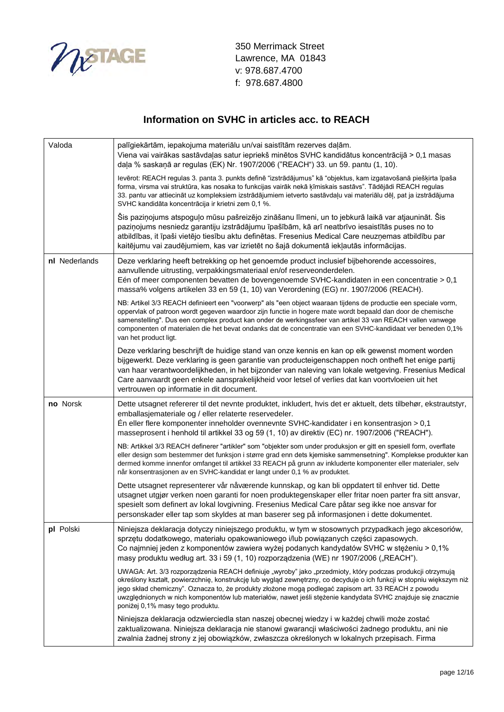

| Valoda        | palīgiekārtām, iepakojuma materiālu un/vai saistītām rezerves daļām.<br>Viena vai vairākas sastāvdaļas satur iepriekš minētos SVHC kandidātus koncentrācijā > 0,1 masas<br>daļa % saskaņā ar regulas (EK) Nr. 1907/2006 ("REACH") 33. un 59. pantu (1, 10).                                                                                                                                                                                                                                   |
|---------------|-----------------------------------------------------------------------------------------------------------------------------------------------------------------------------------------------------------------------------------------------------------------------------------------------------------------------------------------------------------------------------------------------------------------------------------------------------------------------------------------------|
|               | levērot: REACH regulas 3. panta 3. punkts definē "izstrādājumus" kā "objektus, kam izgatavošanā piešķirta īpaša<br>forma, virsma vai struktūra, kas nosaka to funkcijas vairāk nekā ķīmiskais sastāvs". Tādējādi REACH regulas<br>33. pantu var attiecināt uz kompleksiem izstrādājumiem ietverto sastāvdaļu vai materiālu dēļ, pat ja izstrādājuma<br>SVHC kandidāta koncentrācija ir krietni zem 0,1 %.                                                                                     |
|               | Šis paziņojums atspoguļo mūsu pašreizējo zināšanu līmeni, un to jebkurā laikā var atjaunināt. Šis<br>paziņojums nesniedz garantiju izstrādājumu īpašībām, kā arī neatbrīvo iesaistītās puses no to<br>atbildības, it īpaši vietējo tiesību aktu definētas. Fresenius Medical Care neuzņemas atbildību par<br>kaitējumu vai zaudējumiem, kas var izrietēt no šajā dokumentā iekļautās informācijas.                                                                                            |
| nl Nederlands | Deze verklaring heeft betrekking op het genoemde product inclusief bijbehorende accessoires,<br>aanvullende uitrusting, verpakkingsmateriaal en/of reserveonderdelen.<br>Eén of meer componenten bevatten de bovengenoemde SVHC-kandidaten in een concentratie > 0,1<br>massa% volgens artikelen 33 en 59 (1, 10) van Verordening (EG) nr. 1907/2006 (REACH).                                                                                                                                 |
|               | NB: Artikel 3/3 REACH definieert een "voorwerp" als "een object waaraan tijdens de productie een speciale vorm,<br>oppervlak of patroon wordt gegeven waardoor zijn functie in hogere mate wordt bepaald dan door de chemische<br>samenstelling". Dus een complex product kan onder de werkingssfeer van artikel 33 van REACH vallen vanwege<br>componenten of materialen die het bevat ondanks dat de concentratie van een SVHC-kandidaat ver beneden 0,1%<br>van het product ligt.          |
|               | Deze verklaring beschrijft de huidige stand van onze kennis en kan op elk gewenst moment worden<br>bijgewerkt. Deze verklaring is geen garantie van producteigenschappen noch ontheft het enige partij<br>van haar verantwoordelijkheden, in het bijzonder van naleving van lokale wetgeving. Fresenius Medical<br>Care aanvaardt geen enkele aansprakelijkheid voor letsel of verlies dat kan voortvloeien uit het<br>vertrouwen op informatie in dit document.                              |
| no Norsk      | Dette utsagnet refererer til det nevnte produktet, inkludert, hvis det er aktuelt, dets tilbehør, ekstrautstyr,<br>emballasjemateriale og / eller relaterte reservedeler.<br>En eller flere komponenter inneholder ovennevnte SVHC-kandidater i en konsentrasjon $> 0.1$<br>masseprosent i henhold til artikkel 33 og 59 (1, 10) av direktiv (EC) nr. 1907/2006 ("REACH").                                                                                                                    |
|               | NB: Artikkel 3/3 REACH definerer "artikler" som "objekter som under produksjon er gitt en spesiell form, overflate<br>eller design som bestemmer det funksjon i større grad enn dets kjemiske sammensetning". Komplekse produkter kan<br>dermed komme innenfor omfanget til artikkel 33 REACH på grunn av inkluderte komponenter eller materialer, selv<br>når konsentrasjonen av en SVHC-kandidat er langt under 0,1 % av produktet.                                                         |
|               | Dette utsagnet representerer vår nåværende kunnskap, og kan bli oppdatert til enhver tid. Dette<br>utsagnet utgjør verken noen garanti for noen produktegenskaper eller fritar noen parter fra sitt ansvar,<br>spesielt som definert av lokal lovgivning. Fresenius Medical Care påtar seg ikke noe ansvar for<br>personskader eller tap som skyldes at man baserer seg på informasjonen i dette dokumentet.                                                                                  |
| pl Polski     | Niniejsza deklaracja dotyczy niniejszego produktu, w tym w stosownych przypadkach jego akcesoriów,<br>sprzętu dodatkowego, materiału opakowaniowego i/lub powiązanych części zapasowych.<br>Co najmniej jeden z komponentów zawiera wyżej podanych kandydatów SVHC w stężeniu > 0,1%<br>masy produktu według art. 33 i 59 (1, 10) rozporządzenia (WE) nr 1907/2006 ("REACH").                                                                                                                 |
|               | UWAGA: Art. 3/3 rozporządzenia REACH definiuje "wyroby" jako "przedmioty, który podczas produkcji otrzymują<br>określony kształt, powierzchnię, konstrukcję lub wygląd zewnętrzny, co decyduje o ich funkcji w stopniu większym niż<br>jego skład chemiczny". Oznacza to, że produkty złożone mogą podlegać zapisom art. 33 REACH z powodu<br>uwzględnionych w nich komponentów lub materiałów, nawet jeśli stężenie kandydata SVHC znajduje się znacznie<br>poniżej 0,1% masy tego produktu. |
|               | Niniejsza deklaracja odzwierciedla stan naszej obecnej wiedzy i w każdej chwili może zostać<br>zaktualizowana. Niniejsza deklaracja nie stanowi gwarancji właściwości żadnego produktu, ani nie<br>zwalnia żadnej strony z jej obowiązków, zwłaszcza określonych w lokalnych przepisach. Firma                                                                                                                                                                                                |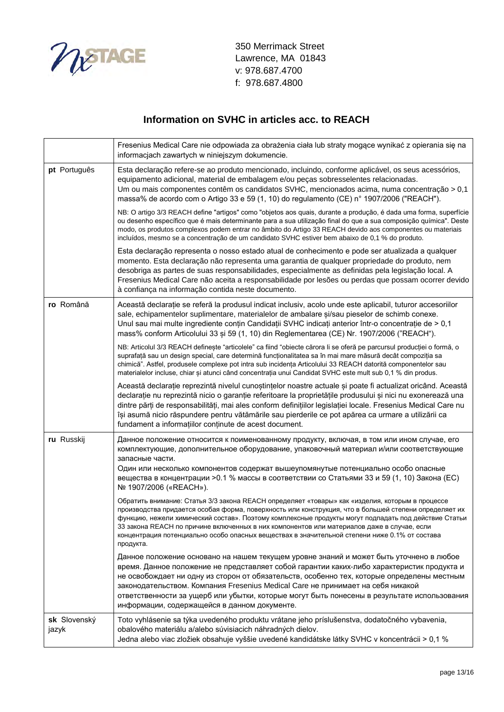

|                       | Fresenius Medical Care nie odpowiada za obrażenia ciała lub straty mogące wynikać z opierania się na<br>informacjach zawartych w niniejszym dokumencie.                                                                                                                                                                                                                                                                                                                                                                      |
|-----------------------|------------------------------------------------------------------------------------------------------------------------------------------------------------------------------------------------------------------------------------------------------------------------------------------------------------------------------------------------------------------------------------------------------------------------------------------------------------------------------------------------------------------------------|
| pt Português          | Esta declaração refere-se ao produto mencionado, incluindo, conforme aplicável, os seus acessórios,<br>equipamento adicional, material de embalagem e/ou peças sobresselentes relacionadas.<br>Um ou mais componentes contêm os candidatos SVHC, mencionados acima, numa concentração > 0,1<br>massa% de acordo com o Artigo 33 e 59 (1, 10) do regulamento (CE) n° 1907/2006 ("REACH").                                                                                                                                     |
|                       | NB: O artigo 3/3 REACH define "artigos" como "objetos aos quais, durante a produção, é dada uma forma, superfície<br>ou desenho específico que é mais determinante para a sua utilização final do que a sua composição química". Deste<br>modo, os produtos complexos podem entrar no âmbito do Artigo 33 REACH devido aos componentes ou materiais<br>incluídos, mesmo se a concentração de um candidato SVHC estiver bem abaixo de 0,1 % do produto.                                                                       |
|                       | Esta declaração representa o nosso estado atual de conhecimento e pode ser atualizada a qualquer<br>momento. Esta declaração não representa uma garantia de qualquer propriedade do produto, nem<br>desobriga as partes de suas responsabilidades, especialmente as definidas pela legislação local. A<br>Fresenius Medical Care não aceita a responsabilidade por lesões ou perdas que possam ocorrer devido<br>à confiança na informação contida neste documento.                                                          |
| ro Română             | Această declarație se referă la produsul indicat inclusiv, acolo unde este aplicabil, tuturor accesoriilor<br>sale, echipamentelor suplimentare, materialelor de ambalare si/sau pieselor de schimb conexe.<br>Unul sau mai multe ingrediente conțin Candidații SVHC indicați anterior într-o concentrație de > 0,1<br>mass% conform Articolului 33 și 59 (1, 10) din Reglementarea (CE) Nr. 1907/2006 ("REACH").                                                                                                            |
|                       | NB: Articolul 3/3 REACH definește "articolele" ca fiind "obiecte cărora li se oferă pe parcursul producției o formă, o<br>suprafață sau un design special, care determină funcționalitatea sa în mai mare măsură decât compoziția sa<br>chimică". Astfel, produsele complexe pot intra sub incidența Articolului 33 REACH datorită componentelor sau<br>materialelor incluse, chiar și atunci când concentrația unui Candidat SVHC este mult sub 0,1 % din produs.                                                           |
|                       | Această declarație reprezintă nivelul cunoștințelor noastre actuale și poate fi actualizat oricând. Această<br>declarație nu reprezintă nicio o garanție referitoare la proprietățile produsului și nici nu exonerează una<br>dintre părți de responsabilități, mai ales conform definițiilor legislației locale. Fresenius Medical Care nu<br>își asumă nicio răspundere pentru vătămările sau pierderile ce pot apărea ca urmare a utilizării ca<br>fundament a informațiilor conținute de acest document.                 |
| ru Russkij            | Данное положение относится к поименованному продукту, включая, в том или ином случае, его<br>комплектующие, дополнительное оборудование, упаковочный материал и/или соответствующие<br>запасные части.<br>Один или несколько компонентов содержат вышеупомянутые потенциально особо опасные<br>вещества в концентрации >0.1 % массы в соответствии со Статьями 33 и 59 (1, 10) Закона (ЕС)<br>№ 1907/2006 («REACH»).                                                                                                         |
|                       | Обратить внимание: Статья 3/3 закона REACH определяет «товары» как «изделия, которым в процессе<br>производства придается особая форма, поверхность или конструкция, что в большей степени определяет их<br>функцию, нежели химический состав». Поэтому комплексные продукты могут подпадать под действие Статьи<br>33 закона REACH по причине включенных в них компонентов или материалов даже в случае, если<br>концентрация потенциально особо опасных веществах в значительной степени ниже 0.1% от состава<br>продукта. |
|                       | Данное положение основано на нашем текущем уровне знаний и может быть уточнено в любое<br>время. Данное положение не представляет собой гарантии каких-либо характеристик продукта и<br>не освобождает ни одну из сторон от обязательств, особенно тех, которые определены местным<br>законодательством. Компания Fresenius Medical Care не принимает на себя никакой<br>ответственности за ущерб или убытки, которые могут быть понесены в результате использования<br>информации, содержащейся в данном документе.         |
| sk Slovenský<br>jazyk | Toto vyhlásenie sa týka uvedeného produktu vrátane jeho príslušenstva, dodatočného vybavenia,<br>obalového materiálu a/alebo súvisiacich náhradných dielov.<br>Jedna alebo viac zložiek obsahuje vyššie uvedené kandidátske látky SVHC v koncentrácii > 0,1 %                                                                                                                                                                                                                                                                |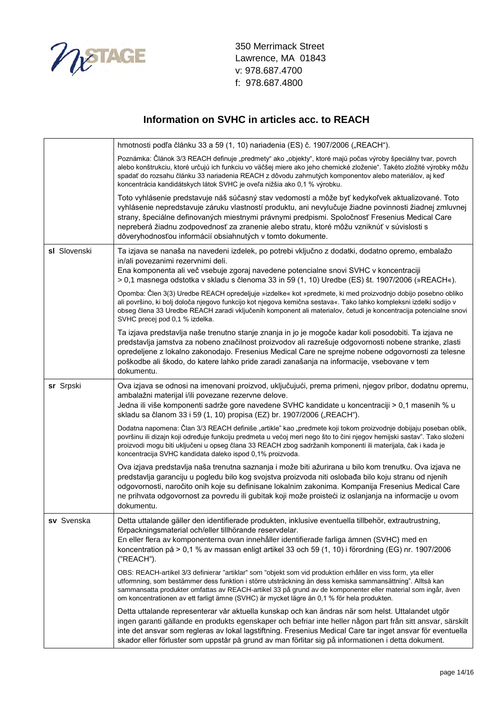

|              | hmotnosti podľa článku 33 a 59 (1, 10) nariadenia (ES) č. 1907/2006 ("REACH").                                                                                                                                                                                                                                                                                                                                                                                           |
|--------------|--------------------------------------------------------------------------------------------------------------------------------------------------------------------------------------------------------------------------------------------------------------------------------------------------------------------------------------------------------------------------------------------------------------------------------------------------------------------------|
|              | Poznámka: Článok 3/3 REACH definuje "predmety" ako "objekty", ktoré majú počas výroby špeciálny tvar, povrch<br>alebo konštrukciu, ktoré určujú ich funkciu vo väčšej miere ako jeho chemické zloženie". Takéto zložité výrobky môžu<br>spadať do rozsahu článku 33 nariadenia REACH z dôvodu zahrnutých komponentov alebo materiálov, aj keď<br>koncentrácia kandidátskych látok SVHC je oveľa nižšia ako 0,1 % výrobku.                                                |
|              | Toto vyhlásenie predstavuje náš súčasný stav vedomostí a môže byť kedykoľvek aktualizované. Toto<br>vyhlásenie nepredstavuje záruku vlastností produktu, ani nevylučuje žiadne povinnosti žiadnej zmluvnej<br>strany, špeciálne definovaných miestnymi právnymi predpismi. Spoločnosť Fresenius Medical Care<br>nepreberá žiadnu zodpovednosť za zranenie alebo stratu, ktoré môžu vzniknúť v súvislosti s<br>dôveryhodnosťou informácií obsiahnutých v tomto dokumente. |
| sl Slovenski | Ta izjava se nanaša na navedeni izdelek, po potrebi vključno z dodatki, dodatno opremo, embalažo<br>in/ali povezanimi rezervnimi deli.<br>Ena komponenta ali več vsebuje zgoraj navedene potencialne snovi SVHC v koncentraciji<br>> 0,1 masnega odstotka v skladu s členoma 33 in 59 (1, 10) Uredbe (ES) št. 1907/2006 (»REACH«).                                                                                                                                       |
|              | Opomba: Člen 3(3) Uredbe REACH opredeljuje »izdelke« kot »predmete, ki med proizvodnjo dobijo posebno obliko<br>ali površino, ki bolj določa njegovo funkcijo kot njegova kemična sestava«. Tako lahko kompleksni izdelki sodijo v<br>obseg člena 33 Uredbe REACH zaradi vključenih komponent ali materialov, četudi je koncentracija potencialne snovi<br>SVHC precej pod 0,1 % izdelka.                                                                                |
|              | Ta izjava predstavlja naše trenutno stanje znanja in jo je mogoče kadar koli posodobiti. Ta izjava ne<br>predstavlja jamstva za nobeno značilnost proizvodov ali razrešuje odgovornosti nobene stranke, zlasti<br>opredeljene z lokalno zakonodajo. Fresenius Medical Care ne sprejme nobene odgovornosti za telesne<br>poškodbe ali škodo, do katere lahko pride zaradi zanašanja na informacije, vsebovane v tem<br>dokumentu.                                         |
| sr Srpski    | Ova izjava se odnosi na imenovani proizvod, uključujući, prema primeni, njegov pribor, dodatnu opremu,<br>ambalažni materijal i/ili povezane rezervne delove.<br>Jedna ili više komponenti sadrže gore navedene SVHC kandidate u koncentraciji > 0,1 masenih % u<br>skladu sa članom 33 i 59 (1, 10) propisa (EZ) br. 1907/2006 ("REACH").                                                                                                                               |
|              | Dodatna napomena: Član 3/3 REACH definiše "artikle" kao "predmete koji tokom proizvodnje dobijaju poseban oblik,<br>površinu ili dizajn koji određuje funkciju predmeta u većoj meri nego što to čini njegov hemijski sastav". Tako složeni<br>proizvodi mogu biti uključeni u opseg člana 33 REACH zbog sadržanih komponenti ili materijala, čak i kada je<br>koncentracija SVHC kandidata daleko ispod 0,1% proizvoda.                                                 |
|              | Ova izjava predstavlja naša trenutna saznanja i može biti ažurirana u bilo kom trenutku. Ova izjava ne<br>predstavlja garanciju u pogledu bilo kog svojstva proizvoda niti oslobađa bilo koju stranu od njenih<br>odgovornosti, naročito onih koje su definisane lokalnim zakonima. Kompanija Fresenius Medical Care<br>ne prihvata odgovornost za povredu ili gubitak koji može proisteći iz oslanjanja na informacije u ovom<br>dokumentu.                             |
| sv Svenska   | Detta uttalande gäller den identifierade produkten, inklusive eventuella tillbehör, extrautrustning,<br>förpackningsmaterial och/eller tillhörande reservdelar.<br>En eller flera av komponenterna ovan innehåller identifierade farliga ämnen (SVHC) med en<br>koncentration på > 0,1 % av massan enligt artikel 33 och 59 (1, 10) i förordning (EG) nr. 1907/2006<br>("REACH").                                                                                        |
|              | OBS: REACH-artikel 3/3 definierar "artiklar" som "objekt som vid produktion erhåller en viss form, yta eller<br>utformning, som bestämmer dess funktion i större utsträckning än dess kemiska sammansättning". Alltså kan<br>sammansatta produkter omfattas av REACH-artikel 33 på grund av de komponenter eller material som ingår, även<br>om koncentrationen av ett farligt ämne (SVHC) är mycket lägre än 0,1 % för hela produkten.                                  |
|              | Detta uttalande representerar vår aktuella kunskap och kan ändras när som helst. Uttalandet utgör<br>ingen garanti gällande en produkts egenskaper och befriar inte heller någon part från sitt ansvar, särskilt<br>inte det ansvar som regleras av lokal lagstiftning. Fresenius Medical Care tar inget ansvar för eventuella<br>skador eller förluster som uppstår på grund av man förlitar sig på informationen i detta dokument.                                     |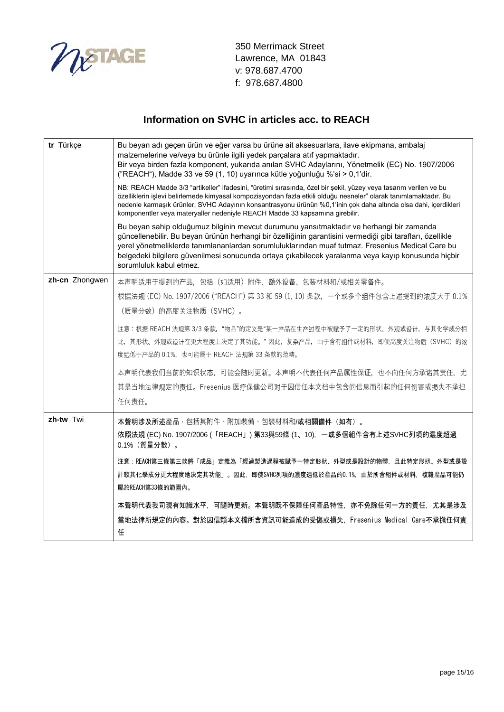

| tr Türkçe      | Bu beyan adı geçen ürün ve eğer varsa bu ürüne ait aksesuarlara, ilave ekipmana, ambalaj<br>malzemelerine ve/veya bu ürünle ilgili yedek parçalara atıf yapmaktadır.<br>Bir veya birden fazla komponent, yukarıda anılan SVHC Adaylarını, Yönetmelik (EC) No. 1907/2006<br>("REACH"), Madde 33 ve 59 (1, 10) uyarınca kütle yoğunluğu %'si > 0,1'dir.<br>NB: REACH Madde 3/3 "artikeller" ifadesini, "üretimi sırasında, özel bir şekil, yüzey veya tasarım verilen ve bu |
|----------------|---------------------------------------------------------------------------------------------------------------------------------------------------------------------------------------------------------------------------------------------------------------------------------------------------------------------------------------------------------------------------------------------------------------------------------------------------------------------------|
|                | özelliklerin işlevi belirlemede kimyasal kompozisyondan fazla etkili olduğu nesneler" olarak tanımlamaktadır. Bu<br>nedenle karmaşık ürünler, SVHC Adayının konsantrasyonu ürünün %0,1'inin çok daha altında olsa dahi, içerdikleri<br>komponentler veya materyaller nedeniyle REACH Madde 33 kapsamına girebilir.                                                                                                                                                        |
|                | Bu beyan sahip olduğumuz bilginin mevcut durumunu yansıtmaktadır ve herhangi bir zamanda<br>güncellenebilir. Bu beyan ürünün herhangi bir özelliğinin garantisini vermediği gibi tarafları, özellikle<br>yerel yönetmeliklerde tanımlananlardan sorumluluklarından muaf tutmaz. Fresenius Medical Care bu<br>belgedeki bilgilere güvenilmesi sonucunda ortaya çıkabilecek yaralanma veya kayıp konusunda hiçbir<br>sorumluluk kabul etmez.                                |
| zh-cn Zhongwen | 本声明适用于提到的产品,包括(如适用)附件、额外设备、包装材料和/或相关零备件。                                                                                                                                                                                                                                                                                                                                                                                                                                  |
|                | 根据法规 (EC) No. 1907/2006 ("REACH") 第 33 和 59 (1, 10) 条款, 一个或多个组件包含上述提到的浓度大于 0.1%                                                                                                                                                                                                                                                                                                                                                                                           |
|                | (质量分数) 的高度关注物质 (SVHC)。                                                                                                                                                                                                                                                                                                                                                                                                                                                    |
|                | 注意:根据 REACH 法规第 3/3 条款, "物品"的定义是"某一产品在生产过程中被赋予了一定的形状、外观或设计, 与其化学成分相                                                                                                                                                                                                                                                                                                                                                                                                       |
|                | 比,其形状、外观或设计在更大程度上决定了其功能。"因此,复杂产品,由于含有组件或材料,即便高度关注物质(SVHC)的浓<br>度远低于产品的 0.1%, 也可能属于 REACH 法规第 33 条款的范畴。                                                                                                                                                                                                                                                                                                                                                                    |
|                | 本声明代表我们当前的知识状态,可能会随时更新。本声明不代表任何产品属性保证,也不向任何方承诺其责任,尤                                                                                                                                                                                                                                                                                                                                                                                                                       |
|                | 其是当地法律规定的责任。Fresenius 医疗保健公司对于因信任本文档中包含的信息而引起的任何伤害或损失不承担                                                                                                                                                                                                                                                                                                                                                                                                                  |
|                | 任何责任。                                                                                                                                                                                                                                                                                                                                                                                                                                                                     |
| zh-tw Twi      | 本聲明涉及所述產品, 包括其附件、附加裝備、包裝材料和/或相關備件(如有)。<br>依照法規 (EC) No. 1907/2006 (「REACH」) 第33與59條 (1、10), 一或多個組件含有上述SVHC列項的濃度超過<br>0.1% (質量分數)。                                                                                                                                                                                                                                                                                                                                         |
|                | 注意:REACH第三條第三款將「成品」定義為「經過製造過程被賦予一特定形狀、外型或是設計的物體,且此特定形狀、外型或是設<br>計較其化學成分更大程度地決定其功能」。因此,即使SVHC列項的濃度遠低於產品的0.1%,由於所含組件或材料,複雜產品可能仍<br>屬於REACH第33條的範圍內。                                                                                                                                                                                                                                                                                                                         |
|                | 本聲明代表我司現有知識水平,可隨時更新。本聲明既不保障任何產品特性,亦不免除任何一方的責任,尤其是涉及<br>當地法律所規定的內容。對於因信賴本文檔所含資訊可能造成的受傷或損失,Fresenius Medical Care不承擔任何責<br>任                                                                                                                                                                                                                                                                                                                                                |